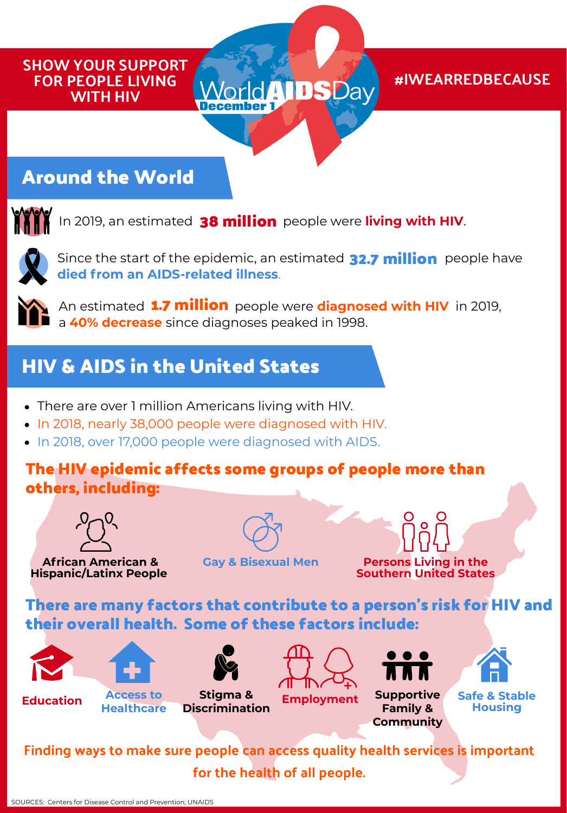#### SHOW YOUR SUPPORT FOR PEOPLE LIVING WITH HIV

#### #IWEARREDBECAUSE

## **Around the World**



In 2019, an estimated **38 million** people were **living with HIV**.



Since the start of the epidemic, an estimated 22.7 million people have **died from an AIDS-related illness**.

**AIDSDa** 



**An estimated 1.7 million** people were diagnosed with HIV in 2019, a **40% decrease** since diagnoses peaked in 1998.

## **HIV & AIDS in the United States**

- There are over 1 million Americans living with HIV.
- In 2018, nearly 38,000 people were diagnosed with HIV.
- In 2018, over 17,000 people were diagnosed with AIDS.

#### **The HIV epidemic affects some groups of people more than others, including:**



**African American & Gay & Bisexual Men Hispanic/Latinx People**



**Persons Living in the Southern United States**

**There are many factors that contribute to a person's risk for HIV and their overall health. Some of these factors include:**









**Stigma & Discrimination**





**Employment Supportive Family & Community**



**Safe & Stable Housing**

Finding ways to make sure people can access quality health services is important for the health of all people.